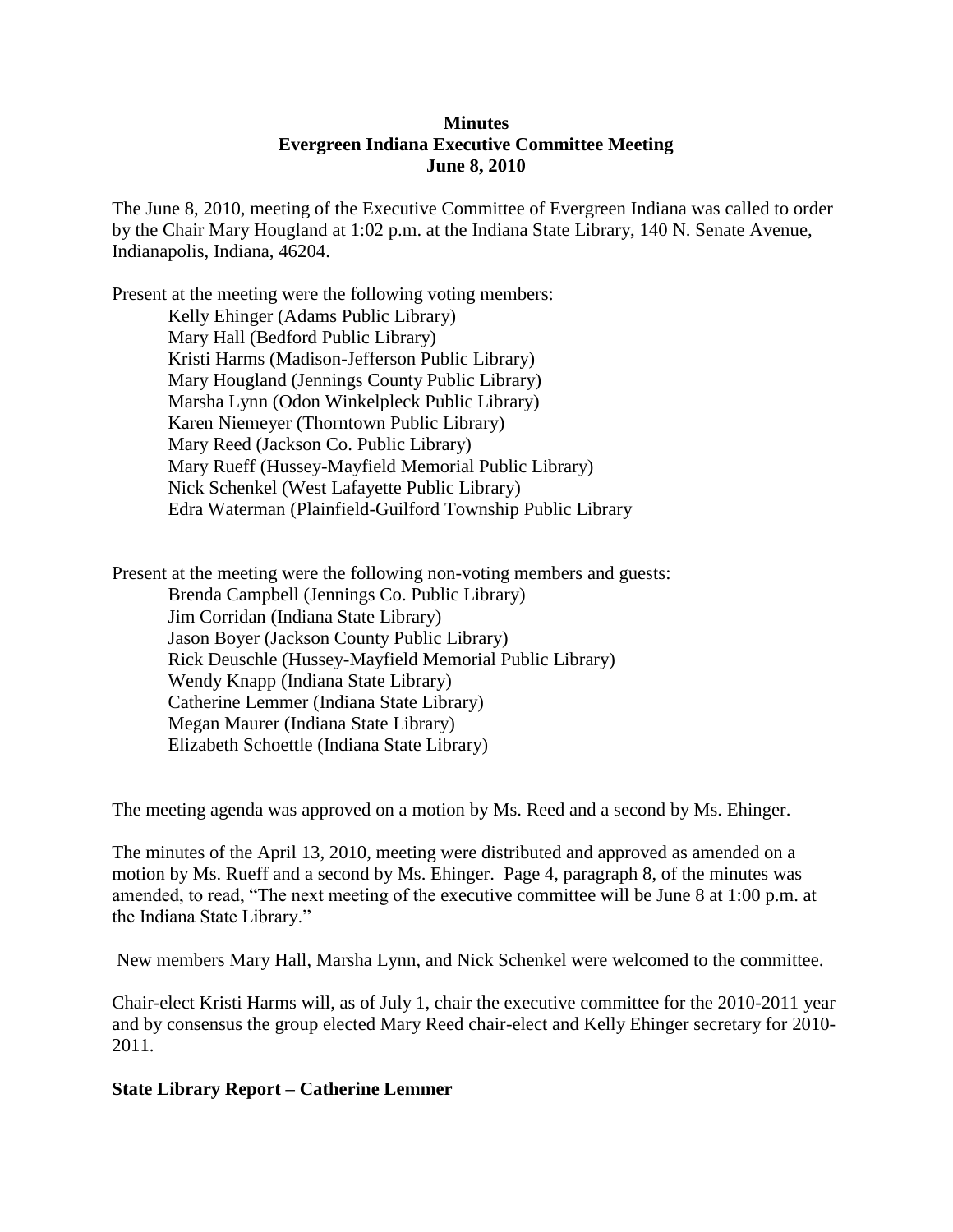## **Minutes Evergreen Indiana Executive Committee Meeting June 8, 2010**

The June 8, 2010, meeting of the Executive Committee of Evergreen Indiana was called to order by the Chair Mary Hougland at 1:02 p.m. at the Indiana State Library, 140 N. Senate Avenue, Indianapolis, Indiana, 46204.

Present at the meeting were the following voting members: Kelly Ehinger (Adams Public Library) Mary Hall (Bedford Public Library) Kristi Harms (Madison-Jefferson Public Library) Mary Hougland (Jennings County Public Library) Marsha Lynn (Odon Winkelpleck Public Library) Karen Niemeyer (Thorntown Public Library) Mary Reed (Jackson Co. Public Library) Mary Rueff (Hussey-Mayfield Memorial Public Library) Nick Schenkel (West Lafayette Public Library) Edra Waterman (Plainfield-Guilford Township Public Library

Present at the meeting were the following non-voting members and guests: Brenda Campbell (Jennings Co. Public Library) Jim Corridan (Indiana State Library) Jason Boyer (Jackson County Public Library) Rick Deuschle (Hussey-Mayfield Memorial Public Library) Wendy Knapp (Indiana State Library) Catherine Lemmer (Indiana State Library) Megan Maurer (Indiana State Library) Elizabeth Schoettle (Indiana State Library)

The meeting agenda was approved on a motion by Ms. Reed and a second by Ms. Ehinger.

The minutes of the April 13, 2010, meeting were distributed and approved as amended on a motion by Ms. Rueff and a second by Ms. Ehinger. Page 4, paragraph 8, of the minutes was amended, to read, "The next meeting of the executive committee will be June 8 at 1:00 p.m. at the Indiana State Library."

New members Mary Hall, Marsha Lynn, and Nick Schenkel were welcomed to the committee.

Chair-elect Kristi Harms will, as of July 1, chair the executive committee for the 2010-2011 year and by consensus the group elected Mary Reed chair-elect and Kelly Ehinger secretary for 2010- 2011.

### **State Library Report – Catherine Lemmer**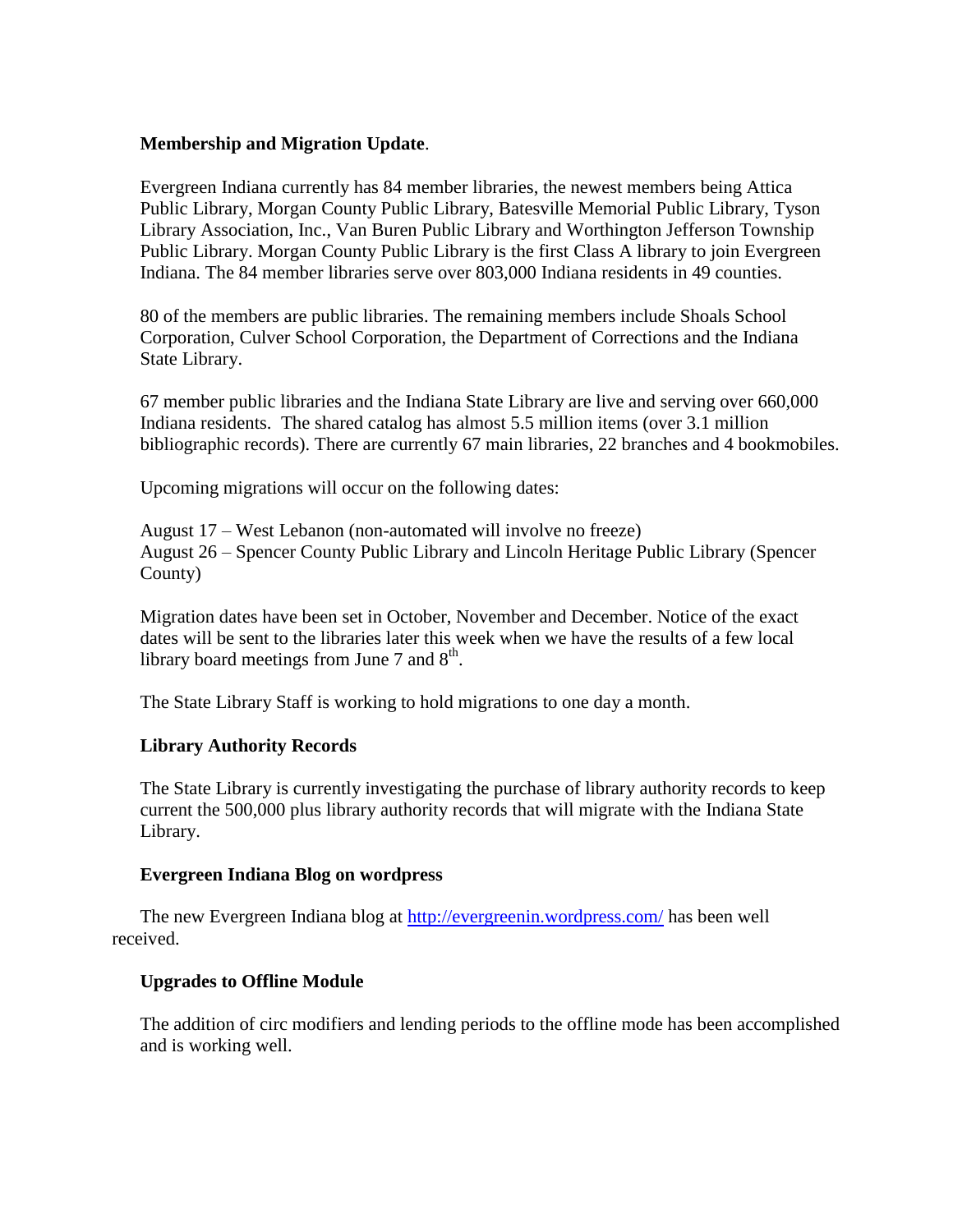### **Membership and Migration Update**.

Evergreen Indiana currently has 84 member libraries, the newest members being Attica Public Library, Morgan County Public Library, Batesville Memorial Public Library, Tyson Library Association, Inc., Van Buren Public Library and Worthington Jefferson Township Public Library. Morgan County Public Library is the first Class A library to join Evergreen Indiana. The 84 member libraries serve over 803,000 Indiana residents in 49 counties.

80 of the members are public libraries. The remaining members include Shoals School Corporation, Culver School Corporation, the Department of Corrections and the Indiana State Library.

67 member public libraries and the Indiana State Library are live and serving over 660,000 Indiana residents. The shared catalog has almost 5.5 million items (over 3.1 million bibliographic records). There are currently 67 main libraries, 22 branches and 4 bookmobiles.

Upcoming migrations will occur on the following dates:

August 17 – West Lebanon (non-automated will involve no freeze) August 26 – Spencer County Public Library and Lincoln Heritage Public Library (Spencer County)

Migration dates have been set in October, November and December. Notice of the exact dates will be sent to the libraries later this week when we have the results of a few local library board meetings from June 7 and  $8<sup>th</sup>$ .

The State Library Staff is working to hold migrations to one day a month.

# **Library Authority Records**

The State Library is currently investigating the purchase of library authority records to keep current the 500,000 plus library authority records that will migrate with the Indiana State Library.

### **Evergreen Indiana Blog on wordpress**

The new Evergreen Indiana blog at<http://evergreenin.wordpress.com/> has been well received.

### **Upgrades to Offline Module**

The addition of circ modifiers and lending periods to the offline mode has been accomplished and is working well.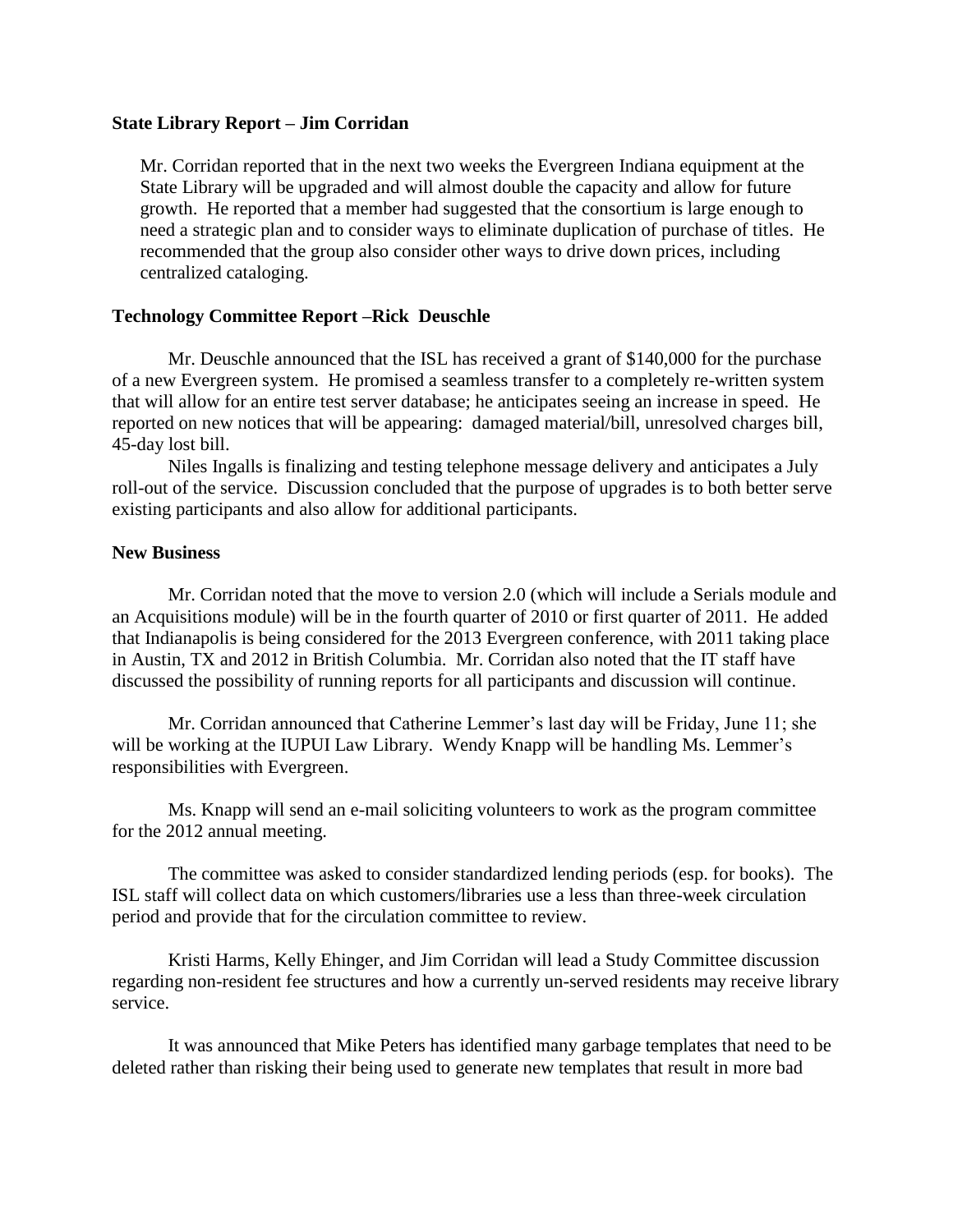#### **State Library Report – Jim Corridan**

Mr. Corridan reported that in the next two weeks the Evergreen Indiana equipment at the State Library will be upgraded and will almost double the capacity and allow for future growth. He reported that a member had suggested that the consortium is large enough to need a strategic plan and to consider ways to eliminate duplication of purchase of titles. He recommended that the group also consider other ways to drive down prices, including centralized cataloging.

### **Technology Committee Report –Rick Deuschle**

Mr. Deuschle announced that the ISL has received a grant of \$140,000 for the purchase of a new Evergreen system. He promised a seamless transfer to a completely re-written system that will allow for an entire test server database; he anticipates seeing an increase in speed. He reported on new notices that will be appearing: damaged material/bill, unresolved charges bill, 45-day lost bill.

Niles Ingalls is finalizing and testing telephone message delivery and anticipates a July roll-out of the service. Discussion concluded that the purpose of upgrades is to both better serve existing participants and also allow for additional participants.

### **New Business**

Mr. Corridan noted that the move to version 2.0 (which will include a Serials module and an Acquisitions module) will be in the fourth quarter of 2010 or first quarter of 2011. He added that Indianapolis is being considered for the 2013 Evergreen conference, with 2011 taking place in Austin, TX and 2012 in British Columbia. Mr. Corridan also noted that the IT staff have discussed the possibility of running reports for all participants and discussion will continue.

Mr. Corridan announced that Catherine Lemmer's last day will be Friday, June 11; she will be working at the IUPUI Law Library. Wendy Knapp will be handling Ms. Lemmer's responsibilities with Evergreen.

Ms. Knapp will send an e-mail soliciting volunteers to work as the program committee for the 2012 annual meeting.

The committee was asked to consider standardized lending periods (esp. for books). The ISL staff will collect data on which customers/libraries use a less than three-week circulation period and provide that for the circulation committee to review.

Kristi Harms, Kelly Ehinger, and Jim Corridan will lead a Study Committee discussion regarding non-resident fee structures and how a currently un-served residents may receive library service.

It was announced that Mike Peters has identified many garbage templates that need to be deleted rather than risking their being used to generate new templates that result in more bad